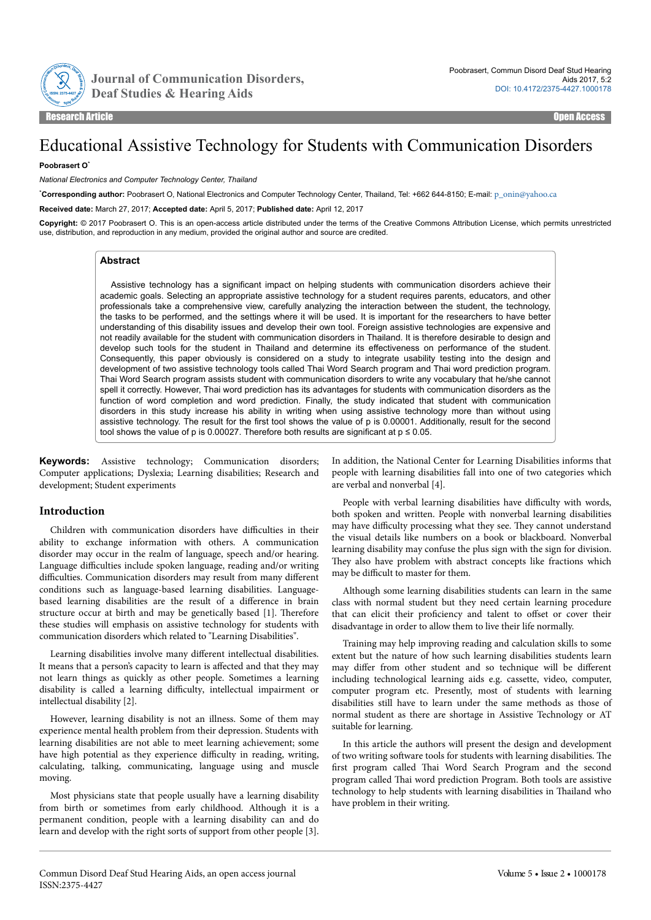

**Journal of Communication Disorders, Deaf Studies & Hearing Aids** 

# Educational Assistive Technology for Students with Communication Disorders

#### **Poobrasert O**\*

*National Electronics and Computer Technology Center, Thailand*

\***Corresponding author:** Poobrasert O, National Electronics and Computer Technology Center, Thailand, Tel: +662 644-8150; E-mail: [p\\_onin@yahoo.ca](mailto:p_onin@yahoo.ca)

**Received date:** March 27, 2017; **Accepted date:** April 5, 2017; **Published date:** April 12, 2017

**Copyright:** © 2017 Poobrasert O. This is an open-access article distributed under the terms of the Creative Commons Attribution License, which permits unrestricted use, distribution, and reproduction in any medium, provided the original author and source are credited.

#### **Abstract**

Assistive technology has a significant impact on helping students with communication disorders achieve their academic goals. Selecting an appropriate assistive technology for a student requires parents, educators, and other professionals take a comprehensive view, carefully analyzing the interaction between the student, the technology, the tasks to be performed, and the settings where it will be used. It is important for the researchers to have better understanding of this disability issues and develop their own tool. Foreign assistive technologies are expensive and not readily available for the student with communication disorders in Thailand. It is therefore desirable to design and develop such tools for the student in Thailand and determine its effectiveness on performance of the student. Consequently, this paper obviously is considered on a study to integrate usability testing into the design and development of two assistive technology tools called Thai Word Search program and Thai word prediction program. Thai Word Search program assists student with communication disorders to write any vocabulary that he/she cannot spell it correctly. However, Thai word prediction has its advantages for students with communication disorders as the function of word completion and word prediction. Finally, the study indicated that student with communication disorders in this study increase his ability in writing when using assistive technology more than without using assistive technology. The result for the first tool shows the value of p is 0.00001. Additionally, result for the second tool shows the value of p is 0.00027. Therefore both results are significant at  $p \le 0.05$ .

**Keywords:** Assistive technology; Communication disorders; Computer applications; Dyslexia; Learning disabilities; Research and development; Student experiments

## **Introduction**

Children with communication disorders have difficulties in their ability to exchange information with others. A communication disorder may occur in the realm of language, speech and/or hearing. Language difficulties include spoken language, reading and/or writing difficulties. Communication disorders may result from many different conditions such as language-based learning disabilities. Languagebased learning disabilities are the result of a difference in brain structure occur at birth and may be genetically based [1]. Нerefore these studies will emphasis on assistive technology for students with communication disorders which related to "Learning Disabilities".

Learning disabilities involve many different intellectual disabilities. It means that a person's capacity to learn is affected and that they may not learn things as quickly as other people. Sometimes a learning disability is called a learning difficulty, intellectual impairment or intellectual disability [2].

However, learning disability is not an illness. Some of them may experience mental health problem from their depression. Students with learning disabilities are not able to meet learning achievement; some have high potential as they experience difficulty in reading, writing, calculating, talking, communicating, language using and muscle moving.

Most physicians state that people usually have a learning disability from birth or sometimes from early childhood. Although it is a permanent condition, people with a learning disability can and do learn and develop with the right sorts of support from other people [3].

In addition, the National Center for Learning Disabilities informs that people with learning disabilities fall into one of two categories which are verbal and nonverbal [4].

People with verbal learning disabilities have difficulty with words, both spoken and written. People with nonverbal learning disabilities may have difficulty processing what they see. They cannot understand the visual details like numbers on a book or blackboard. Nonverbal learning disability may confuse the plus sign with the sign for division. They also have problem with abstract concepts like fractions which may be difficult to master for them.

Although some learning disabilities students can learn in the same class with normal student but they need certain learning procedure that can elicit their proficiency and talent to offset or cover their disadvantage in order to allow them to live their life normally.

Training may help improving reading and calculation skills to some extent but the nature of how such learning disabilities students learn may differ from other student and so technique will be different including technological learning aids e.g. cassette, video, computer, computer program etc. Presently, most of students with learning disabilities still have to learn under the same methods as those of normal student as there are shortage in Assistive Technology or AT suitable for learning.

In this article the authors will present the design and development of two writing software tools for students with learning disabilities. The first program called Thai Word Search Program and the second program called Thai word prediction Program. Both tools are assistive technology to help students with learning disabilities in Thailand who have problem in their writing.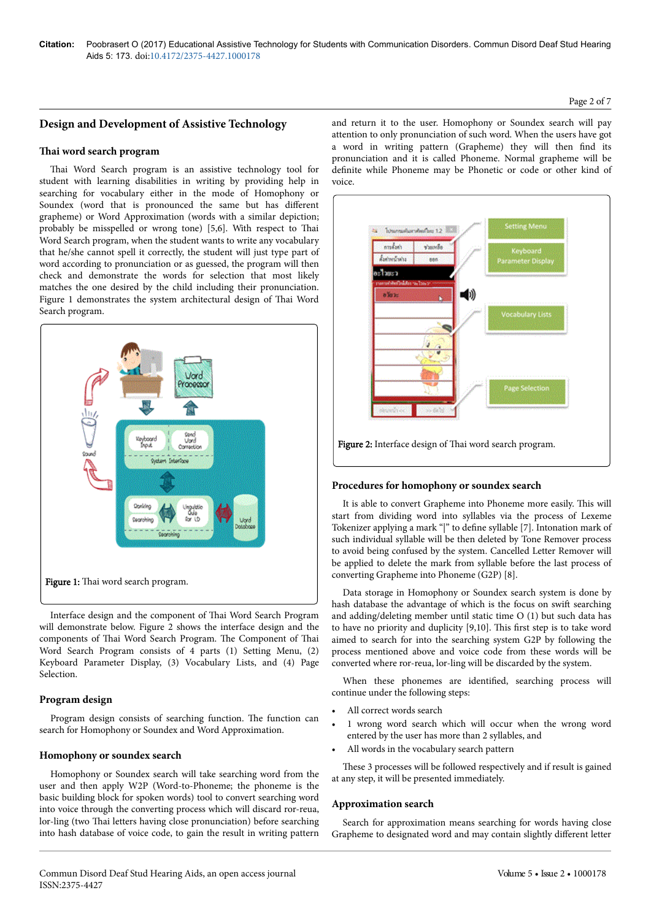# **Design and Development of Assistive Technology**

#### **Thai** word search program

Thai Word Search program is an assistive technology tool for student with learning disabilities in writing by providing help in searching for vocabulary either in the mode of Homophony or Soundex (word that is pronounced the same but has different grapheme) or Word Approximation (words with a similar depiction; probably be misspelled or wrong tone) [5,6]. With respect to Thai Word Search program, when the student wants to write any vocabulary that he/she cannot spell it correctly, the student will just type part of word according to pronunciation or as guessed, the program will then check and demonstrate the words for selection that most likely matches the one desired by the child including their pronunciation. Figure 1 demonstrates the system architectural design of Thai Word Search program.



Interface design and the component of Thai Word Search Program will demonstrate below. Figure 2 shows the interface design and the components of Thai Word Search Program. The Component of Thai Word Search Program consists of 4 parts (1) Setting Menu, (2) Keyboard Parameter Display, (3) Vocabulary Lists, and (4) Page Selection.

#### **Program design**

Program design consists of searching function. Нe function can search for Homophony or Soundex and Word Approximation.

#### **Homophony or soundex search**

Homophony or Soundex search will take searching word from the user and then apply W2P (Word-to-Phoneme; the phoneme is the basic building block for spoken words) tool to convert searching word into voice through the converting process which will discard ror-reua, lor-ling (two Thai letters having close pronunciation) before searching into hash database of voice code, to gain the result in writing pattern

and return it to the user. Homophony or Soundex search will pay attention to only pronunciation of such word. When the users have got a word in writing pattern (Grapheme) they will then find its pronunciation and it is called Phoneme. Normal grapheme will be definite while Phoneme may be Phonetic or code or other kind of voice.



#### **Procedures for homophony or soundex search**

It is able to convert Grapheme into Phoneme more easily. Нis will start from dividing word into syllables via the process of Lexeme Tokenizer applying a mark "|" to define syllable [7]. Intonation mark of such individual syllable will be then deleted by Tone Remover process to avoid being confused by the system. Cancelled Letter Remover will be applied to delete the mark from syllable before the last process of converting Grapheme into Phoneme (G2P) [8].

Data storage in Homophony or Soundex search system is done by hash database the advantage of which is the focus on swift searching and adding/deleting member until static time O (1) but such data has to have no priority and duplicity [9,10]. This first step is to take word aimed to search for into the searching system G2P by following the process mentioned above and voice code from these words will be converted where ror-reua, lor-ling will be discarded by the system.

When these phonemes are identified, searching process will continue under the following steps:

- All correct words search
- 1 wrong word search which will occur when the wrong word entered by the user has more than 2 syllables, and
- All words in the vocabulary search pattern

These 3 processes will be followed respectively and if result is gained at any step, it will be presented immediately.

#### **Approximation search**

Search for approximation means searching for words having close Grapheme to designated word and may contain slightly different letter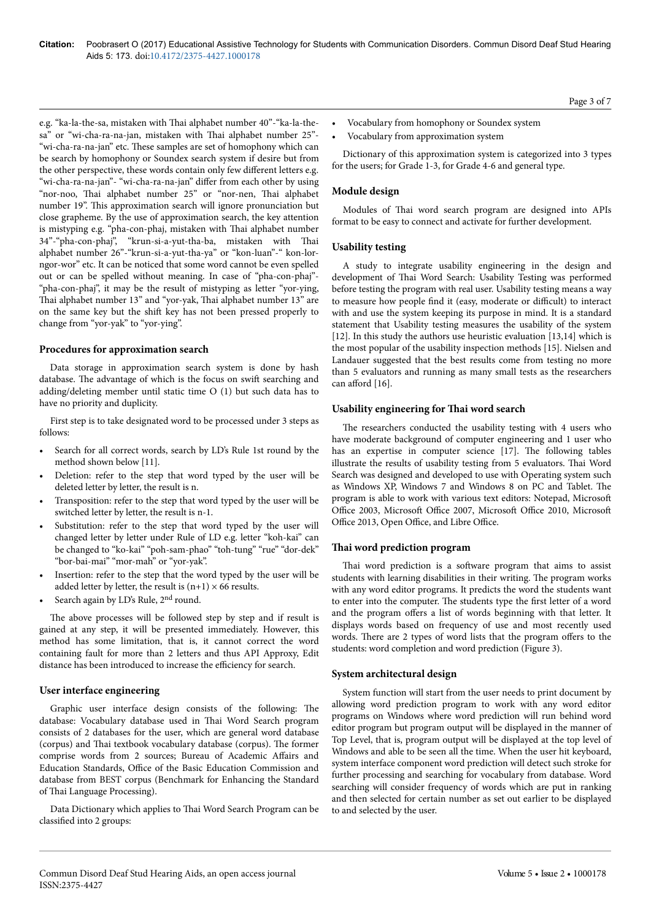e.g. "ka-la-the-sa, mistaken with Thai alphabet number 40"- "ka-la-thesa" or "wi-cha-ra-na-jan, mistaken with Thai alphabet number 25"-"wi-cha-ra-na-jan" etc. Нese samples are set of homophony which can be search by homophony or Soundex search system if desire but from the other perspective, these words contain only few different letters e.g. "wi-cha-ra-na-jan"- "wi-cha-ra-na-jan" differ from each other by using "nor-noo, Thai alphabet number 25" or "nor-nen, Thai alphabet number 19". Нis approximation search will ignore pronunciation but close grapheme. By the use of approximation search, the key attention is mistyping e.g. "pha-con-phaj, mistaken with Thai alphabet number 34"-"pha-con-phaj", "krun-si-a-yut-tha-ba, mistaken with Thai alphabet number 26"-"krun-si-a-yut-tha-ya" or "kon-luan"-" kon-lorngor-wor" etc. It can be noticed that some word cannot be even spelled out or can be spelled without meaning. In case of "pha-con-phaj"- "pha-con-phaj", it may be the result of mistyping as letter "yor-ying, Thai alphabet number 13" and "yor-yak, Thai alphabet number 13" are on the same key but the shift key has not been pressed properly to change from "yor-yak" to "yor-ying".

## **Procedures for approximation search**

Data storage in approximation search system is done by hash database. The advantage of which is the focus on swift searching and adding/deleting member until static time O (1) but such data has to have no priority and duplicity.

First step is to take designated word to be processed under 3 steps as follows:

- Search for all correct words, search by LD's Rule 1st round by the method shown below [11].
- Deletion: refer to the step that word typed by the user will be deleted letter by letter, the result is n.
- Transposition: refer to the step that word typed by the user will be switched letter by letter, the result is n-1.
- Substitution: refer to the step that word typed by the user will changed letter by letter under Rule of LD e.g. letter "koh-kai" can be changed to "ko-kai" "poh-sam-phao" "toh-tung" "rue" "dor-dek" "bor-bai-mai" "mor-mah" or "yor-yak".
- Insertion: refer to the step that the word typed by the user will be added letter by letter, the result is  $(n+1) \times 66$  results.
- Search again by LD's Rule, 2nd round.

The above processes will be followed step by step and if result is gained at any step, it will be presented immediately. However, this method has some limitation, that is, it cannot correct the word containing fault for more than 2 letters and thus API Approxy, Edit distance has been introduced to increase the efficiency for search.

# **User interface engineering**

Graphic user interface design consists of the following: Нe database: Vocabulary database used in Thai Word Search program consists of 2 databases for the user, which are general word database (corpus) and Thai textbook vocabulary database (corpus). The former comprise words from 2 sources; Bureau of Academic Affairs and Education Standards, Office of the Basic Education Commission and database from BEST corpus (Benchmark for Enhancing the Standard of Thai Language Processing).

Data Dictionary which applies to Thai Word Search Program can be classified into 2 groups:

- Vocabulary from homophony or Soundex system
- Vocabulary from approximation system

Dictionary of this approximation system is categorized into 3 types for the users; for Grade 1-3, for Grade 4-6 and general type.

# **Module design**

Modules of Thai word search program are designed into APIs format to be easy to connect and activate for further development.

## **Usability testing**

A study to integrate usability engineering in the design and development of Thai Word Search: Usability Testing was performed before testing the program with real user. Usability testing means a way to measure how people find it (easy, moderate or difficult) to interact with and use the system keeping its purpose in mind. It is a standard statement that Usability testing measures the usability of the system [12]. In this study the authors use heuristic evaluation [13,14] which is the most popular of the usability inspection methods [15]. Nielsen and Landauer suggested that the best results come from testing no more than 5 evaluators and running as many small tests as the researchers can afford [16].

## **Usability engineering for Thai word search**

The researchers conducted the usability testing with 4 users who have moderate background of computer engineering and 1 user who has an expertise in computer science [17]. The following tables illustrate the results of usability testing from 5 evaluators. Thai Word Search was designed and developed to use with Operating system such as Windows XP, Windows 7 and Windows 8 on PC and Tablet. Нe program is able to work with various text editors: Notepad, Microsoft Office 2003, Microsoft Office 2007, Microsoft Office 2010, Microsoft Office 2013, Open Office, and Libre Office.

# **Thai word prediction program**

Thai word prediction is a software program that aims to assist students with learning disabilities in their writing. Нe program works with any word editor programs. It predicts the word the students want to enter into the computer. The students type the first letter of a word and the program offers a list of words beginning with that letter. It displays words based on frequency of use and most recently used words. There are 2 types of word lists that the program offers to the students: word completion and word prediction (Figure 3).

# **System architectural design**

System function will start from the user needs to print document by allowing word prediction program to work with any word editor programs on Windows where word prediction will run behind word editor program but program output will be displayed in the manner of Top Level, that is, program output will be displayed at the top level of Windows and able to be seen all the time. When the user hit keyboard, system interface component word prediction will detect such stroke for further processing and searching for vocabulary from database. Word searching will consider frequency of words which are put in ranking and then selected for certain number as set out earlier to be displayed to and selected by the user.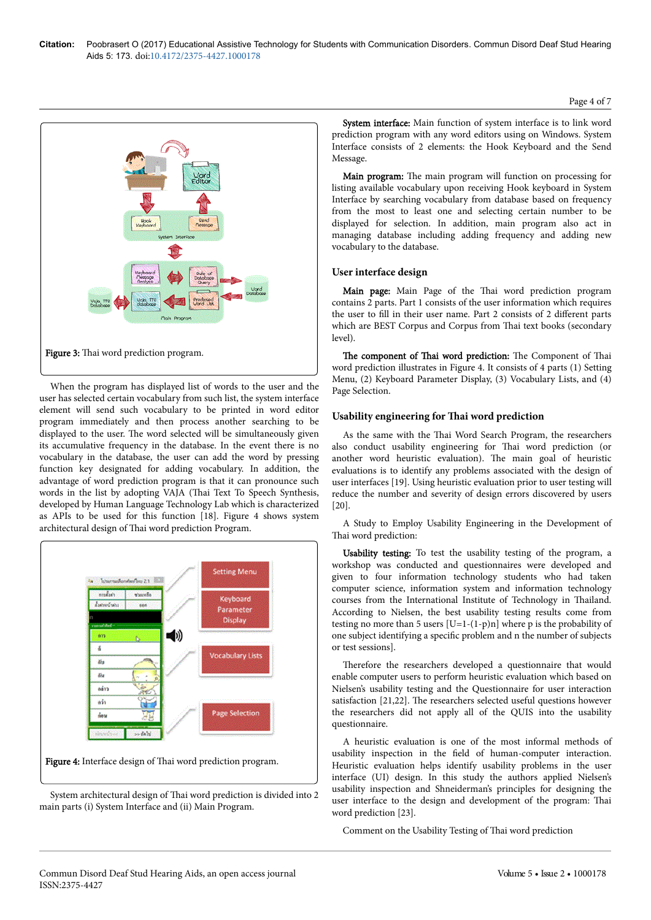## Page 4 of 7



When the program has displayed list of words to the user and the user has selected certain vocabulary from such list, the system interface element will send such vocabulary to be printed in word editor program immediately and then process another searching to be displayed to the user. Нe word selected will be simultaneously given its accumulative frequency in the database. In the event there is no vocabulary in the database, the user can add the word by pressing function key designated for adding vocabulary. In addition, the advantage of word prediction program is that it can pronounce such words in the list by adopting VAJA (Thai Text To Speech Synthesis, developed by Human Language Technology Lab which is characterized as APIs to be used for this function [18]. Figure 4 shows system architectural design of Thai word prediction Program.



System architectural design of Thai word prediction is divided into 2 main parts (i) System Interface and (ii) Main Program.

System interface: Main function of system interface is to link word prediction program with any word editors using on Windows. System Interface consists of 2 elements: the Hook Keyboard and the Send Message.

Main program: Нe main program will function on processing for listing available vocabulary upon receiving Hook keyboard in System Interface by searching vocabulary from database based on frequency from the most to least one and selecting certain number to be displayed for selection. In addition, main program also act in managing database including adding frequency and adding new vocabulary to the database.

## **User interface design**

Main page: Main Page of the Thai word prediction program contains 2 parts. Part 1 consists of the user information which requires the user to fill in their user name. Part 2 consists of 2 different parts which are BEST Corpus and Corpus from Thai text books (secondary level).

The component of Thai word prediction: The Component of Thai word prediction illustrates in Figure 4. It consists of 4 parts (1) Setting Menu, (2) Keyboard Parameter Display, (3) Vocabulary Lists, and (4) Page Selection.

#### **Usability engineering for Thai word prediction**

As the same with the Thai Word Search Program, the researchers also conduct usability engineering for Thai word prediction (or another word heuristic evaluation). Нe main goal of heuristic evaluations is to identify any problems associated with the design of user interfaces [19]. Using heuristic evaluation prior to user testing will reduce the number and severity of design errors discovered by users [20].

A Study to Employ Usability Engineering in the Development of Thai word prediction:

Usability testing: To test the usability testing of the program, a workshop was conducted and questionnaires were developed and given to four information technology students who had taken computer science, information system and information technology courses from the International Institute of Technology in Thailand. According to Nielsen, the best usability testing results come from testing no more than 5 users  $[U=1-(1-p)n]$  where p is the probability of one subject identifying a specific problem and n the number of subjects or test sessions].

Нerefore the researchers developed a questionnaire that would enable computer users to perform heuristic evaluation which based on Nielsen's usability testing and the Questionnaire for user interaction satisfaction [21,22]. Нe researchers selected useful questions however the researchers did not apply all of the QUIS into the usability questionnaire.

A heuristic evaluation is one of the most informal methods of usability inspection in the field of human-computer interaction. Heuristic evaluation helps identify usability problems in the user interface (UI) design. In this study the authors applied Nielsen's usability inspection and Shneiderman's principles for designing the user interface to the design and development of the program: Thai word prediction [23].

Comment on the Usability Testing of Thai word prediction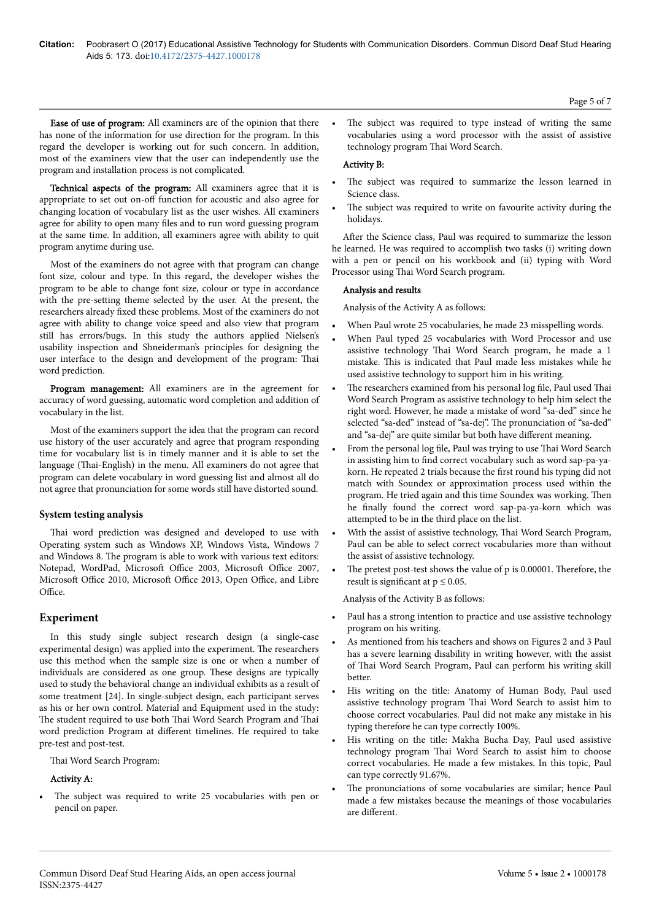Ease of use of program: All examiners are of the opinion that there has none of the information for use direction for the program. In this regard the developer is working out for such concern. In addition, most of the examiners view that the user can independently use the program and installation process is not complicated.

Technical aspects of the program: All examiners agree that it is appropriate to set out on-off function for acoustic and also agree for changing location of vocabulary list as the user wishes. All examiners agree for ability to open many files and to run word guessing program at the same time. In addition, all examiners agree with ability to quit program anytime during use.

Most of the examiners do not agree with that program can change font size, colour and type. In this regard, the developer wishes the program to be able to change font size, colour or type in accordance with the pre-setting theme selected by the user. At the present, the researchers already fixed these problems. Most of the examiners do not agree with ability to change voice speed and also view that program still has errors/bugs. In this study the authors applied Nielsen's usability inspection and Shneiderman's principles for designing the user interface to the design and development of the program: Thai word prediction.

Program management: All examiners are in the agreement for accuracy of word guessing, automatic word completion and addition of vocabulary in the list.

Most of the examiners support the idea that the program can record use history of the user accurately and agree that program responding time for vocabulary list is in timely manner and it is able to set the language (Thai-English) in the menu. All examiners do not agree that program can delete vocabulary in word guessing list and almost all do not agree that pronunciation for some words still have distorted sound.

# **System testing analysis**

Thai word prediction was designed and developed to use with Operating system such as Windows XP, Windows Vista, Windows 7 and Windows 8. Нe program is able to work with various text editors: Notepad, WordPad, Microsoft Office 2003, Microsoft Office 2007, Microsoft Office 2010, Microsoft Office 2013, Open Office, and Libre Office.

# **Experiment**

In this study single subject research design (a single-case experimental design) was applied into the experiment. Нe researchers use this method when the sample size is one or when a number of individuals are considered as one group. Нese designs are typically used to study the behavioral change an individual exhibits as a result of some treatment [24]. In single-subject design, each participant serves as his or her own control. Material and Equipment used in the study: The student required to use both Thai Word Search Program and Thai word prediction Program at different timelines. He required to take pre-test and post-test.

Thai Word Search Program:

# Activity A:

The subject was required to write 25 vocabularies with pen or pencil on paper.

The subject was required to type instead of writing the same vocabularies using a word processor with the assist of assistive technology program Thai Word Search.

## Activity B:

- The subject was required to summarize the lesson learned in Science class.
- The subject was required to write on favourite activity during the holidays.

After the Science class, Paul was required to summarize the lesson he learned. He was required to accomplish two tasks (i) writing down with a pen or pencil on his workbook and (ii) typing with Word Processor using Thai Word Search program.

## Analysis and results

Analysis of the Activity A as follows:

- When Paul wrote 25 vocabularies, he made 23 misspelling words.
- When Paul typed 25 vocabularies with Word Processor and use assistive technology Thai Word Search program, he made a 1 mistake. Нis is indicated that Paul made less mistakes while he used assistive technology to support him in his writing.
- The researchers examined from his personal log file, Paul used Thai Word Search Program as assistive technology to help him select the right word. However, he made a mistake of word "sa-ded" since he selected "sa-ded" instead of "sa-dej". The pronunciation of "sa-ded" and "sa-dej" are quite similar but both have different meaning.
- From the personal log file, Paul was trying to use Thai Word Search in assisting him to find correct vocabulary such as word sap-pa-yakorn. He repeated 2 trials because the first round his typing did not match with Soundex or approximation process used within the program. He tried again and this time Soundex was working. Нen he finally found the correct word sap-pa-ya-korn which was attempted to be in the third place on the list.
- With the assist of assistive technology, Thai Word Search Program, Paul can be able to select correct vocabularies more than without the assist of assistive technology.
- The pretest post-test shows the value of p is 0.00001. Therefore, the result is significant at  $p \leq 0.05$ .

Analysis of the Activity B as follows:

- Paul has a strong intention to practice and use assistive technology program on his writing.
- As mentioned from his teachers and shows on Figures 2 and 3 Paul has a severe learning disability in writing however, with the assist of Thai Word Search Program, Paul can perform his writing skill better.
- His writing on the title: Anatomy of Human Body, Paul used assistive technology program Thai Word Search to assist him to choose correct vocabularies. Paul did not make any mistake in his typing therefore he can type correctly 100%.
- His writing on the title: Makha Bucha Day, Paul used assistive technology program Thai Word Search to assist him to choose correct vocabularies. He made a few mistakes. In this topic, Paul can type correctly 91.67%.
- The pronunciations of some vocabularies are similar; hence Paul made a few mistakes because the meanings of those vocabularies are different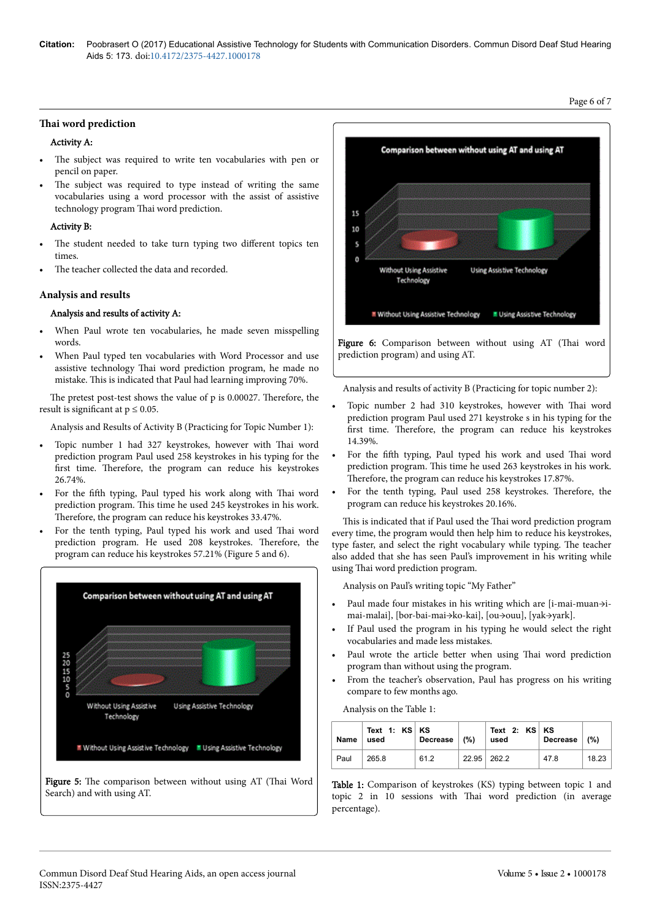## **Thai** word prediction

# Activity A:

- The subject was required to write ten vocabularies with pen or pencil on paper.
- The subject was required to type instead of writing the same vocabularies using a word processor with the assist of assistive technology program Thai word prediction.

#### Activity B:

- The student needed to take turn typing two different topics ten times.
- The teacher collected the data and recorded.

## **Analysis and results**

#### Analysis and results of activity A:

- When Paul wrote ten vocabularies, he made seven misspelling words.
- When Paul typed ten vocabularies with Word Processor and use assistive technology Thai word prediction program, he made no mistake. Нis is indicated that Paul had learning improving 70%.

The pretest post-test shows the value of p is 0.00027. Therefore, the result is significant at  $p \leq 0.05$ .

Analysis and Results of Activity B (Practicing for Topic Number 1):

- Topic number 1 had 327 keystrokes, however with Thai word prediction program Paul used 258 keystrokes in his typing for the first time. Therefore, the program can reduce his keystrokes 26.74%.
- For the fifth typing, Paul typed his work along with Thai word prediction program. Нis time he used 245 keystrokes in his work. Therefore, the program can reduce his keystrokes 33.47%.
- For the tenth typing, Paul typed his work and used Thai word prediction program. He used 208 keystrokes. Нerefore, the program can reduce his keystrokes 57.21% (Figure 5 and 6).





Figure 6: Comparison between without using AT (Thai word prediction program) and using AT.

Analysis and results of activity B (Practicing for topic number 2):

- Topic number 2 had 310 keystrokes, however with Thai word prediction program Paul used 271 keystroke s in his typing for the first time. Therefore, the program can reduce his keystrokes 14.39%.
- For the fifth typing, Paul typed his work and used Thai word prediction program. Нis time he used 263 keystrokes in his work. Therefore, the program can reduce his keystrokes 17.87%.
- For the tenth typing, Paul used 258 keystrokes. Нerefore, the program can reduce his keystrokes 20.16%.

This is indicated that if Paul used the Thai word prediction program every time, the program would then help him to reduce his keystrokes, type faster, and select the right vocabulary while typing. Нe teacher also added that she has seen Paul's improvement in his writing while using Thai word prediction program.

Analysis on Paul's writing topic "My Father"

- Paul made four mistakes in his writing which are [i-mai-muan→imai-malai], [bor-bai-mai→ko-kai], [ou→ouu], [yak→yark].
- If Paul used the program in his typing he would select the right vocabularies and made less mistakes.
- Paul wrote the article better when using Thai word prediction program than without using the program.
- From the teacher's observation, Paul has progress on his writing compare to few months ago.

Analysis on the Table 1:

| Name | Text 1: $KS$ KS<br>used | Decrease $(%)$ |             | Text 2: $KS$ KS<br>used | Decrease $(%)$ |       |
|------|-------------------------|----------------|-------------|-------------------------|----------------|-------|
| Paul | 265.8                   | 61.2           | 22.95 262.2 |                         | 47.8           | 18.23 |

Table 1: Comparison of keystrokes (KS) typing between topic 1 and topic 2 in 10 sessions with Thai word prediction (in average percentage).

Page 6 of 7